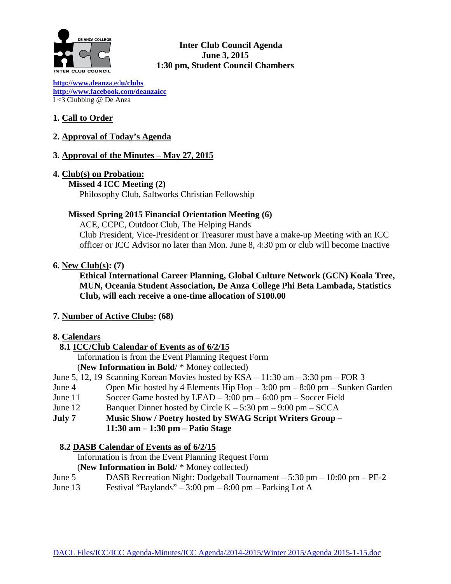

## **Inter Club Council Agenda June 3, 2015 1:30 pm, Student Council Chambers**

**[http://www.deanz](http://www.deanza.edu/clubs)**a.ed**u/clubs [http://www.facebook.com/deanzaicc](http://www.facebook.com/home.php%23!/group.php?gid=59034552686)** I <3 Clubbing @ De Anza

## **1. Call to Order**

## **2. Approval of Today's Agenda**

## **3. Approval of the Minutes – May 27, 2015**

## **4. Club(s) on Probation:**

 **Missed 4 ICC Meeting (2)** Philosophy Club, Saltworks Christian Fellowship

## **Missed Spring 2015 Financial Orientation Meeting (6)**

ACE, CCPC, Outdoor Club, The Helping Hands Club President, Vice-President or Treasurer must have a make-up Meeting with an ICC officer or ICC Advisor no later than Mon. June 8, 4:30 pm or club will become Inactive

## **6. New Club(s): (7)**

**Ethical International Career Planning, Global Culture Network (GCN) Koala Tree, MUN, Oceania Student Association, De Anza College Phi Beta Lambada, Statistics Club, will each receive a one-time allocation of \$100.00**

## **7. Number of Active Clubs: (68)**

## **8. Calendars**

## **8.1 ICC/Club Calendar of Events as of 6/2/15**

 Information is from the Event Planning Request Form (**New Information in Bold**/ \* Money collected)

June 5, 12, 19 Scanning Korean Movies hosted by KSA – 11:30 am – 3:30 pm – FOR 3

- June 4 Open Mic hosted by 4 Elements Hip Hop 3:00 pm 8:00 pm Sunken Garden
- June 11 Soccer Game hosted by LEAD 3:00 pm 6:00 pm Soccer Field
- June 12 Banquet Dinner hosted by Circle  $K 5:30$  pm  $9:00$  pm  $-$  SCCA
- **July 7 Music Show / Poetry hosted by SWAG Script Writers Group – 11:30 am – 1:30 pm – Patio Stage**

### **8.2 DASB Calendar of Events as of 6/2/15**

Information is from the Event Planning Request Form (**New Information in Bold**/ \* Money collected)

- June 5 DASB Recreation Night: Dodgeball Tournament 5:30 pm 10:00 pm PE-2
- June 13 Festival "Baylands" 3:00 pm 8:00 pm Parking Lot A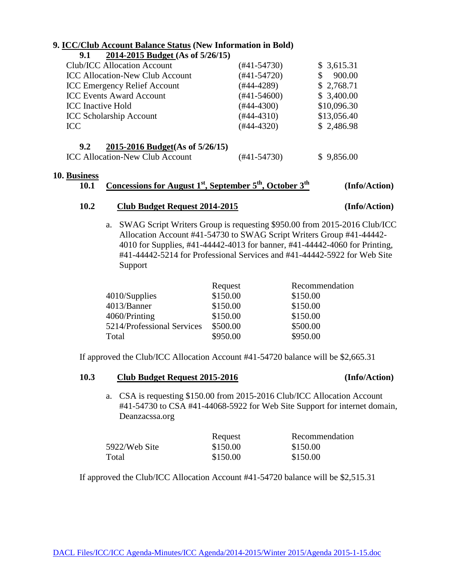## **9. ICC/Club Account Balance Status (New Information in Bold)**

**9.1 2014-2015 Budget (As of 5/26/15)**

| Club/ICC Allocation Account            | $(#41-54730)$    | \$3,615.31  |
|----------------------------------------|------------------|-------------|
| <b>ICC Allocation-New Club Account</b> | $(#41-54720)$    | 900.00      |
| <b>ICC Emergency Relief Account</b>    | $(#44-4289)$     | \$2,768.71  |
| <b>ICC Events Award Account</b>        | $(\#41 - 54600)$ | \$3,400.00  |
| <b>ICC</b> Inactive Hold               | $(#44-4300)$     | \$10,096.30 |
| <b>ICC Scholarship Account</b>         | $(#44-4310)$     | \$13,056.40 |
| <b>ICC</b>                             | $(#44-4320)$     | \$2,486.98  |
| 2015-2016 Budget(As of 5/26/15)<br>9.2 |                  |             |
| <b>ICC Allocation-New Club Account</b> | (#41-54730)      | \$9,856.00  |

#### **10. Business**

# **10.1 Concessions for August 1st, September 5th, October 3th (Info/Action)**

#### **10.2 Club Budget Request 2014-2015 (Info/Action)**

a. SWAG Script Writers Group is requesting \$950.00 from 2015-2016 Club/ICC Allocation Account #41-54730 to SWAG Script Writers Group #41-44442- 4010 for Supplies, #41-44442-4013 for banner, #41-44442-4060 for Printing, #41-44442-5214 for Professional Services and #41-44442-5922 for Web Site Support

|                            | Request  | Recommendation |
|----------------------------|----------|----------------|
| $4010/S$ upplies           | \$150.00 | \$150.00       |
| 4013/Banner                | \$150.00 | \$150.00       |
| 4060/Printing              | \$150.00 | \$150.00       |
| 5214/Professional Services | \$500.00 | \$500.00       |
| Total                      | \$950.00 | \$950.00       |

If approved the Club/ICC Allocation Account #41-54720 balance will be \$2,665.31

### **10.3 Club Budget Request 2015-2016 (Info/Action)**

a. CSA is requesting \$150.00 from 2015-2016 Club/ICC Allocation Account #41-54730 to CSA #41-44068-5922 for Web Site Support for internet domain, Deanzacssa.org

|               | Request  | Recommendation |
|---------------|----------|----------------|
| 5922/Web Site | \$150.00 | \$150.00       |
| Total         | \$150.00 | \$150.00       |

If approved the Club/ICC Allocation Account #41-54720 balance will be \$2,515.31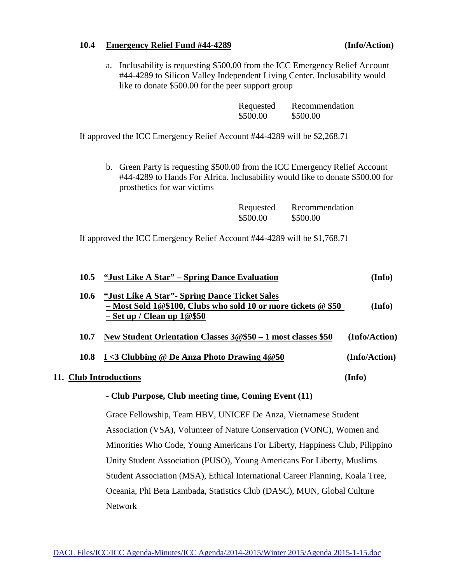#### **10.4 Emergency Relief Fund #44-4289 (Info/Action)**

a. Inclusability is requesting \$500.00 from the ICC Emergency Relief Account #44-4289 to Silicon Valley Independent Living Center. Inclusability would like to donate \$500.00 for the peer support group

| Requested | Recommendation |
|-----------|----------------|
| \$500.00  | \$500.00       |

If approved the ICC Emergency Relief Account #44-4289 will be \$2,268.71

b. Green Party is requesting \$500.00 from the ICC Emergency Relief Account #44-4289 to Hands For Africa. Inclusability would like to donate \$500.00 for prosthetics for war victims

| Requested | Recommendation |
|-----------|----------------|
| \$500.00  | \$500.00       |

If approved the ICC Emergency Relief Account #44-4289 will be \$1,768.71

| 10.5                                                                        | "Just Like A Star" – Spring Dance Evaluation                                                                                                     | (Info)        |
|-----------------------------------------------------------------------------|--------------------------------------------------------------------------------------------------------------------------------------------------|---------------|
| 10.6                                                                        | "Just Like A Star" - Spring Dance Ticket Sales<br>- Most Sold 1@\$100, Clubs who sold 10 or more tickets @ \$50<br>$-$ Set up / Clean up $1@$50$ | (Info)        |
| 10.7                                                                        | New Student Orientation Classes $3@$50 - 1$ most classes \$50                                                                                    | (Info/Action) |
| 10.8                                                                        | $I < 3$ Clubbing @ De Anza Photo Drawing 4@50                                                                                                    | (Info/Action) |
| 11. Club Introductions                                                      |                                                                                                                                                  | (Info)        |
|                                                                             | - Club Purpose, Club meeting time, Coming Event (11)                                                                                             |               |
| Grace Fellowship, Team HBV, UNICEF De Anza, Vietnamese Student              |                                                                                                                                                  |               |
| Association (VSA), Volunteer of Nature Conservation (VONC), Women and       |                                                                                                                                                  |               |
| Minorities Who Code, Young Americans For Liberty, Happiness Club, Pilippino |                                                                                                                                                  |               |
| Unity Student Association (PUSO), Young Americans For Liberty, Muslims      |                                                                                                                                                  |               |
|                                                                             | Student Association (MSA), Ethical International Career Planning, Koala Tree,                                                                    |               |

Oceania, Phi Beta Lambada, Statistics Club (DASC), MUN, Global Culture Network